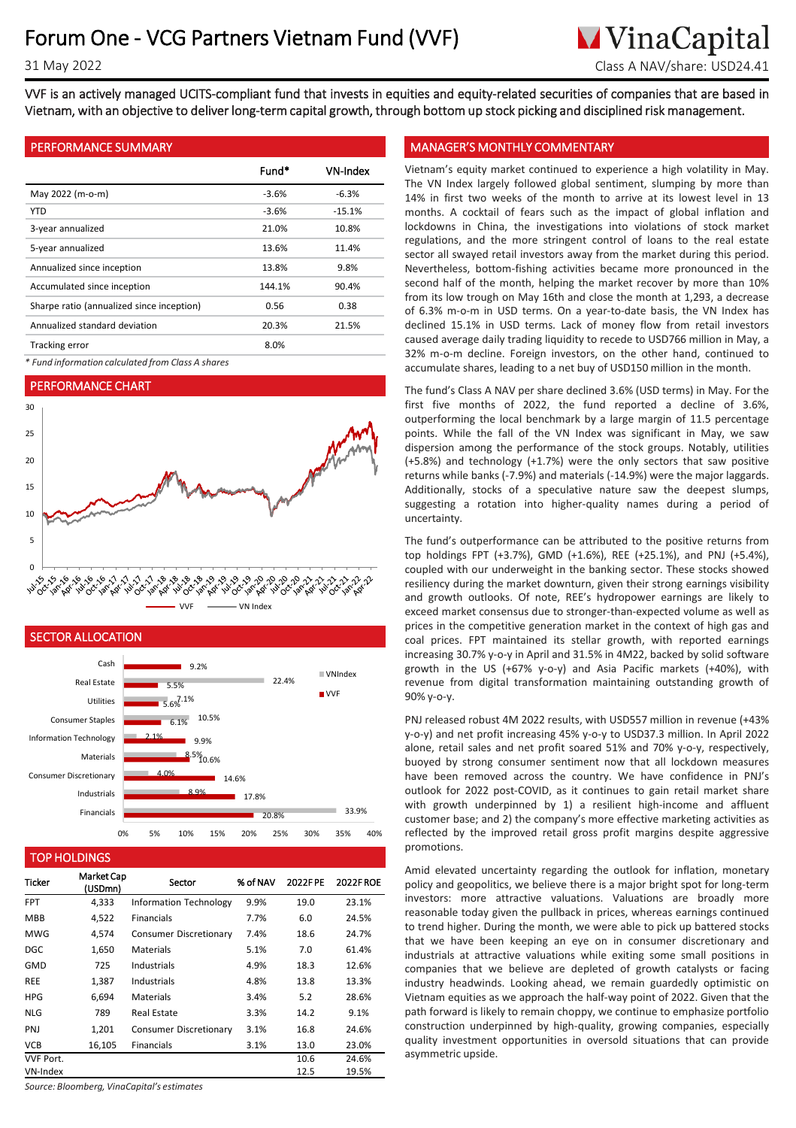# **M**VinaCapital 31 May 2022 Class A NAV/share: USD24.41

VVF is an actively managed UCITS-compliant fund that invests in equities and equity-related securities of companies that are based in Vietnam, with an objective to deliver long-term capital growth, through bottom up stock picking and disciplined risk management.

# PERFORMANCE SUMMARY

|                                           | Fund*   | VN-Index |
|-------------------------------------------|---------|----------|
| May 2022 (m-o-m)                          | $-3.6%$ | $-6.3%$  |
| <b>YTD</b>                                | $-3.6%$ | $-15.1%$ |
| 3-year annualized                         | 21.0%   | 10.8%    |
| 5-year annualized                         | 13.6%   | 11.4%    |
| Annualized since inception                | 13.8%   | 9.8%     |
| Accumulated since inception               | 144.1%  | 90.4%    |
| Sharpe ratio (annualized since inception) | 0.56    | 0.38     |
| Annualized standard deviation             | 20.3%   | 21.5%    |
| <b>Tracking error</b>                     | 8.0%    |          |

*\* Fund information calculated from Class A shares*

# PERFORMANCE CHART





### TOP HOLDINGS

| <b>Ticker</b>    | <b>Market Cap</b><br>(USDmn) | Sector                        | % of NAV | 2022FPE | <b>2022FROE</b> |
|------------------|------------------------------|-------------------------------|----------|---------|-----------------|
| <b>FPT</b>       | 4,333                        | <b>Information Technology</b> | 9.9%     | 19.0    | 23.1%           |
| <b>MBB</b>       | 4,522                        | <b>Financials</b>             | 7.7%     | 6.0     | 24.5%           |
| <b>MWG</b>       | 4,574                        | Consumer Discretionary        | 7.4%     | 18.6    | 24.7%           |
| <b>DGC</b>       | 1,650                        | Materials                     | 5.1%     | 7.0     | 61.4%           |
| <b>GMD</b>       | 725                          | Industrials                   | 4.9%     | 18.3    | 12.6%           |
| <b>REE</b>       | 1,387                        | Industrials                   | 4.8%     | 13.8    | 13.3%           |
| <b>HPG</b>       | 6.694                        | Materials                     | 3.4%     | 5.2     | 28.6%           |
| <b>NLG</b>       | 789                          | Real Estate                   | 3.3%     | 14.2    | 9.1%            |
| <b>PNJ</b>       | 1.201                        | Consumer Discretionary        | 3.1%     | 16.8    | 24.6%           |
| <b>VCB</b>       | 16,105                       | <b>Financials</b>             | 3.1%     | 13.0    | 23.0%           |
| <b>VVF Port.</b> |                              |                               |          | 10.6    | 24.6%           |
| VN-Index         |                              |                               |          | 12.5    | 19.5%           |

*Source: Bloomberg, VinaCapital's estimates*

# MANAGER'S MONTHLY COMMENTARY

Vietnam's equity market continued to experience a high volatility in May. The VN Index largely followed global sentiment, slumping by more than 14% in first two weeks of the month to arrive at its lowest level in 13 months. A cocktail of fears such as the impact of global inflation and lockdowns in China, the investigations into violations of stock market regulations, and the more stringent control of loans to the real estate sector all swayed retail investors away from the market during this period. Nevertheless, bottom-fishing activities became more pronounced in the second half of the month, helping the market recover by more than 10% from its low trough on May 16th and close the month at 1,293, a decrease of 6.3% m-o-m in USD terms. On a year-to-date basis, the VN Index has declined 15.1% in USD terms. Lack of money flow from retail investors caused average daily trading liquidity to recede to USD766 million in May, a 32% m-o-m decline. Foreign investors, on the other hand, continued to accumulate shares, leading to a net buy of USD150 million in the month.

The fund's Class A NAV per share declined 3.6% (USD terms) in May. For the first five months of 2022, the fund reported a decline of 3.6%, outperforming the local benchmark by a large margin of 11.5 percentage points. While the fall of the VN Index was significant in May, we saw dispersion among the performance of the stock groups. Notably, utilities (+5.8%) and technology (+1.7%) were the only sectors that saw positive returns while banks (-7.9%) and materials (-14.9%) were the major laggards. Additionally, stocks of a speculative nature saw the deepest slumps, suggesting a rotation into higher-quality names during a period of uncertainty.

The fund's outperformance can be attributed to the positive returns from top holdings FPT (+3.7%), GMD (+1.6%), REE (+25.1%), and PNJ (+5.4%), coupled with our underweight in the banking sector. These stocks showed resiliency during the market downturn, given their strong earnings visibility and growth outlooks. Of note, REE's hydropower earnings are likely to exceed market consensus due to stronger-than-expected volume as well as prices in the competitive generation market in the context of high gas and coal prices. FPT maintained its stellar growth, with reported earnings increasing 30.7% y-o-y in April and 31.5% in 4M22, backed by solid software growth in the US (+67% y-o-y) and Asia Pacific markets (+40%), with revenue from digital transformation maintaining outstanding growth of 90% y-o-y.

PNJ released robust 4M 2022 results, with USD557 million in revenue (+43% y-o-y) and net profit increasing 45% y-o-y to USD37.3 million. In April 2022 alone, retail sales and net profit soared 51% and 70% y-o-y, respectively, buoyed by strong consumer sentiment now that all lockdown measures have been removed across the country. We have confidence in PNJ's outlook for 2022 post-COVID, as it continues to gain retail market share with growth underpinned by 1) a resilient high-income and affluent customer base; and 2) the company's more effective marketing activities as reflected by the improved retail gross profit margins despite aggressive promotions.

Amid elevated uncertainty regarding the outlook for inflation, monetary policy and geopolitics, we believe there is a major bright spot for long-term investors: more attractive valuations. Valuations are broadly more reasonable today given the pullback in prices, whereas earnings continued to trend higher. During the month, we were able to pick up battered stocks that we have been keeping an eye on in consumer discretionary and industrials at attractive valuations while exiting some small positions in companies that we believe are depleted of growth catalysts or facing industry headwinds. Looking ahead, we remain guardedly optimistic on Vietnam equities as we approach the half-way point of 2022. Given that the path forward is likely to remain choppy, we continue to emphasize portfolio construction underpinned by high-quality, growing companies, especially quality investment opportunities in oversold situations that can provide asymmetric upside.